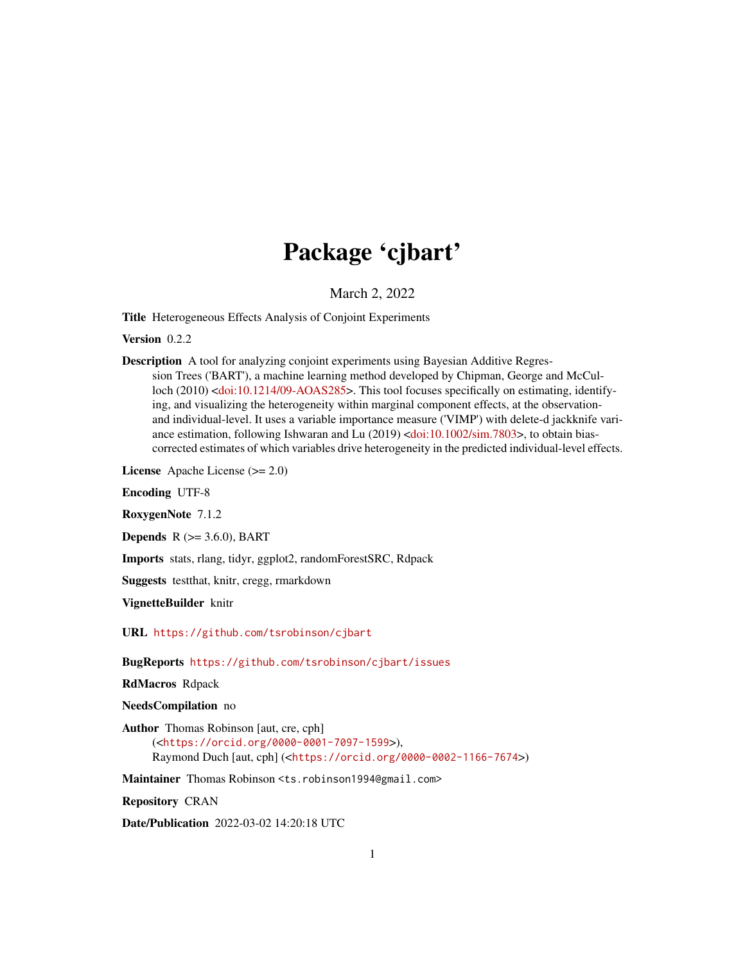# Package 'cjbart'

March 2, 2022

<span id="page-0-0"></span>Title Heterogeneous Effects Analysis of Conjoint Experiments

Version 0.2.2

Description A tool for analyzing conjoint experiments using Bayesian Additive Regression Trees ('BART'), a machine learning method developed by Chipman, George and McCul-loch (2010) [<doi:10.1214/09-AOAS285>](https://doi.org/10.1214/09-AOAS285). This tool focuses specifically on estimating, identifying, and visualizing the heterogeneity within marginal component effects, at the observationand individual-level. It uses a variable importance measure ('VIMP') with delete-d jackknife vari-ance estimation, following Ishwaran and Lu (2019) [<doi:10.1002/sim.7803>](https://doi.org/10.1002/sim.7803), to obtain biascorrected estimates of which variables drive heterogeneity in the predicted individual-level effects.

License Apache License (>= 2.0)

Encoding UTF-8

RoxygenNote 7.1.2

**Depends**  $R$  ( $>= 3.6.0$ ), BART

Imports stats, rlang, tidyr, ggplot2, randomForestSRC, Rdpack

Suggests testthat, knitr, cregg, rmarkdown

VignetteBuilder knitr

URL <https://github.com/tsrobinson/cjbart>

BugReports <https://github.com/tsrobinson/cjbart/issues>

RdMacros Rdpack

NeedsCompilation no

Author Thomas Robinson [aut, cre, cph] (<<https://orcid.org/0000-0001-7097-1599>>), Raymond Duch [aut, cph] (<<https://orcid.org/0000-0002-1166-7674>>)

Maintainer Thomas Robinson <ts.robinson1994@gmail.com>

Repository CRAN

Date/Publication 2022-03-02 14:20:18 UTC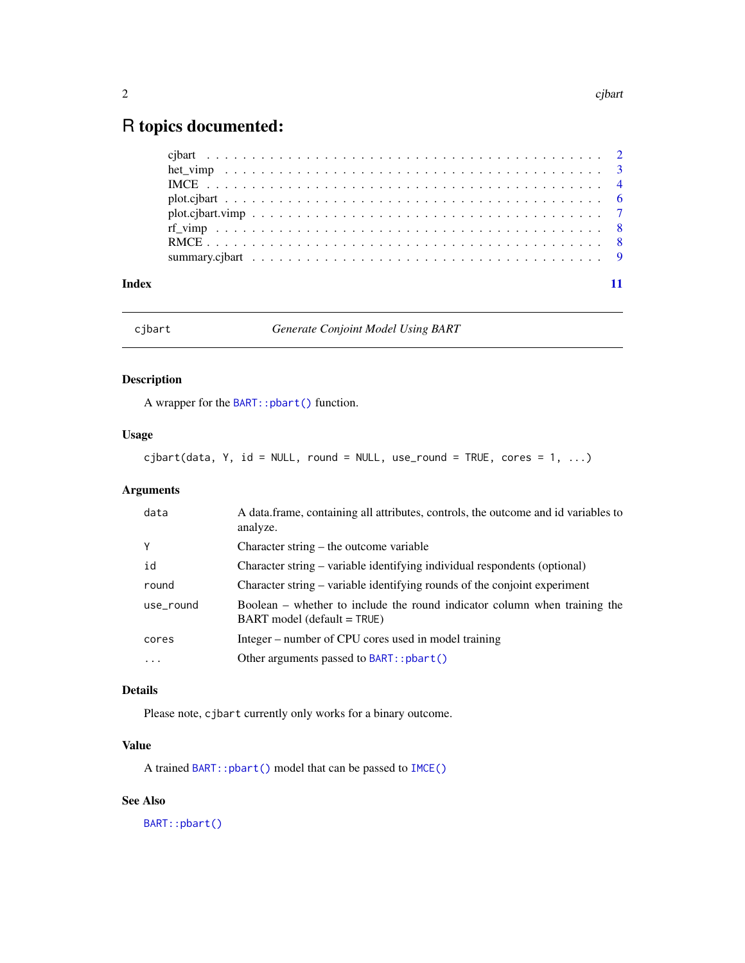# <span id="page-1-0"></span>R topics documented:

| $plot.cjbart.vimp"$ |  |
|---------------------|--|
|                     |  |
|                     |  |
|                     |  |
|                     |  |

#### **Index** [11](#page-10-0)

<span id="page-1-1"></span>cjbart *Generate Conjoint Model Using BART*

# Description

A wrapper for the [BART::pbart\(\)](#page-0-0) function.

# Usage

 $cjbart(data, Y, id = NULL, round = NULL, use\_round = TRUE, cores = 1, ...)$ 

# Arguments

| data      | A data frame, containing all attributes, controls, the outcome and id variables to<br>analyze.             |
|-----------|------------------------------------------------------------------------------------------------------------|
| Υ         | Character string – the outcome variable                                                                    |
| id        | Character string – variable identifying individual respondents (optional)                                  |
| round     | Character string – variable identifying rounds of the conjoint experiment                                  |
| use_round | Boolean – whether to include the round indicator column when training the<br>$BART$ model (default = TRUE) |
| cores     | Integer – number of CPU cores used in model training                                                       |
| .         | Other arguments passed to BART:: pbart()                                                                   |

# Details

Please note, cjbart currently only works for a binary outcome.

# Value

A trained [BART::pbart\(\)](#page-0-0) model that can be passed to [IMCE\(\)](#page-3-1)

# See Also

[BART::pbart\(\)](#page-0-0)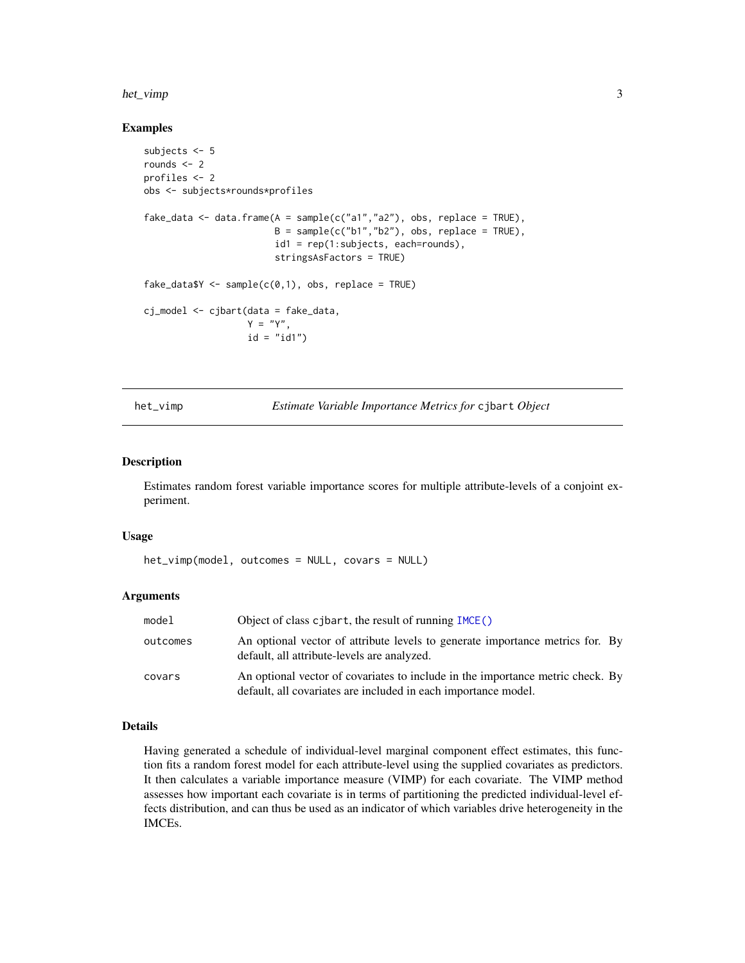#### <span id="page-2-0"></span>het\_vimp 3

#### Examples

```
subjects <- 5
rounds <- 2
profiles <- 2
obs <- subjects*rounds*profiles
fake_data <- data.frame(A = sample(c("a1","a2"), obs, replace = TRUE),
                        B = sample(c("b1", "b2"), obs, replace = TRUE),id1 = rep(1:subjects, each=rounds),
                        stringsAsFactors = TRUE)
fake\_data <- sample(c(0,1), obs, replace = TRUE)cj_model <- cjbart(data = fake_data,
                  Y = "Y".id = "id1")
```
het\_vimp *Estimate Variable Importance Metrics for* cjbart *Object*

#### Description

Estimates random forest variable importance scores for multiple attribute-levels of a conjoint experiment.

#### Usage

het\_vimp(model, outcomes = NULL, covars = NULL)

# Arguments

| model    | Object of class c jbart, the result of running IMCE()                                                                                            |
|----------|--------------------------------------------------------------------------------------------------------------------------------------------------|
| outcomes | An optional vector of attribute levels to generate importance metrics for. By<br>default, all attribute-levels are analyzed.                     |
| covars   | An optional vector of covariates to include in the importance metric check. By<br>default, all covariates are included in each importance model. |

# Details

Having generated a schedule of individual-level marginal component effect estimates, this function fits a random forest model for each attribute-level using the supplied covariates as predictors. It then calculates a variable importance measure (VIMP) for each covariate. The VIMP method assesses how important each covariate is in terms of partitioning the predicted individual-level effects distribution, and can thus be used as an indicator of which variables drive heterogeneity in the IMCEs.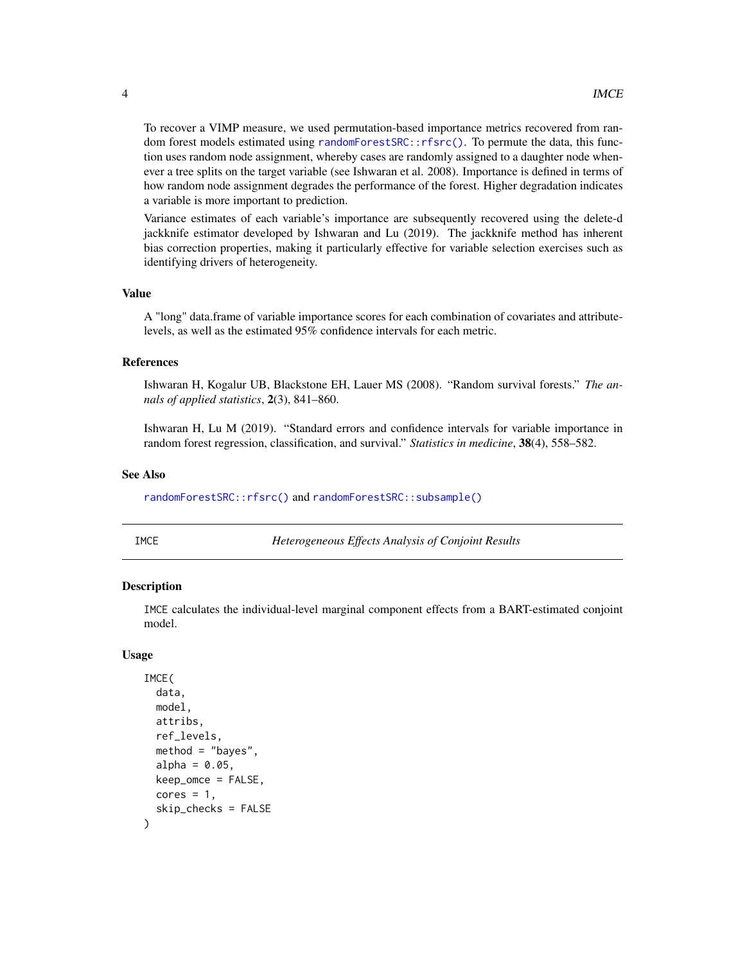<span id="page-3-0"></span>To recover a VIMP measure, we used permutation-based importance metrics recovered from random forest models estimated using [randomForestSRC::rfsrc\(\)](#page-0-0). To permute the data, this function uses random node assignment, whereby cases are randomly assigned to a daughter node whenever a tree splits on the target variable (see Ishwaran et al. 2008). Importance is defined in terms of how random node assignment degrades the performance of the forest. Higher degradation indicates a variable is more important to prediction.

Variance estimates of each variable's importance are subsequently recovered using the delete-d jackknife estimator developed by Ishwaran and Lu (2019). The jackknife method has inherent bias correction properties, making it particularly effective for variable selection exercises such as identifying drivers of heterogeneity.

#### Value

A "long" data.frame of variable importance scores for each combination of covariates and attributelevels, as well as the estimated 95% confidence intervals for each metric.

#### References

Ishwaran H, Kogalur UB, Blackstone EH, Lauer MS (2008). "Random survival forests." *The annals of applied statistics*, 2(3), 841–860.

Ishwaran H, Lu M (2019). "Standard errors and confidence intervals for variable importance in random forest regression, classification, and survival." *Statistics in medicine*, 38(4), 558–582.

#### See Also

[randomForestSRC::rfsrc\(\)](#page-0-0) and [randomForestSRC::subsample\(\)](#page-0-0)

IMCE *Heterogeneous Effects Analysis of Conjoint Results*

#### Description

IMCE calculates the individual-level marginal component effects from a BART-estimated conjoint model.

#### Usage

```
IMCE(
  data,
  model,
  attribs,
  ref_levels,
  method = "bayes".alpha = 0.05,
  keep_omce = FALSE,
  cores = 1,
  skip_checks = FALSE
)
```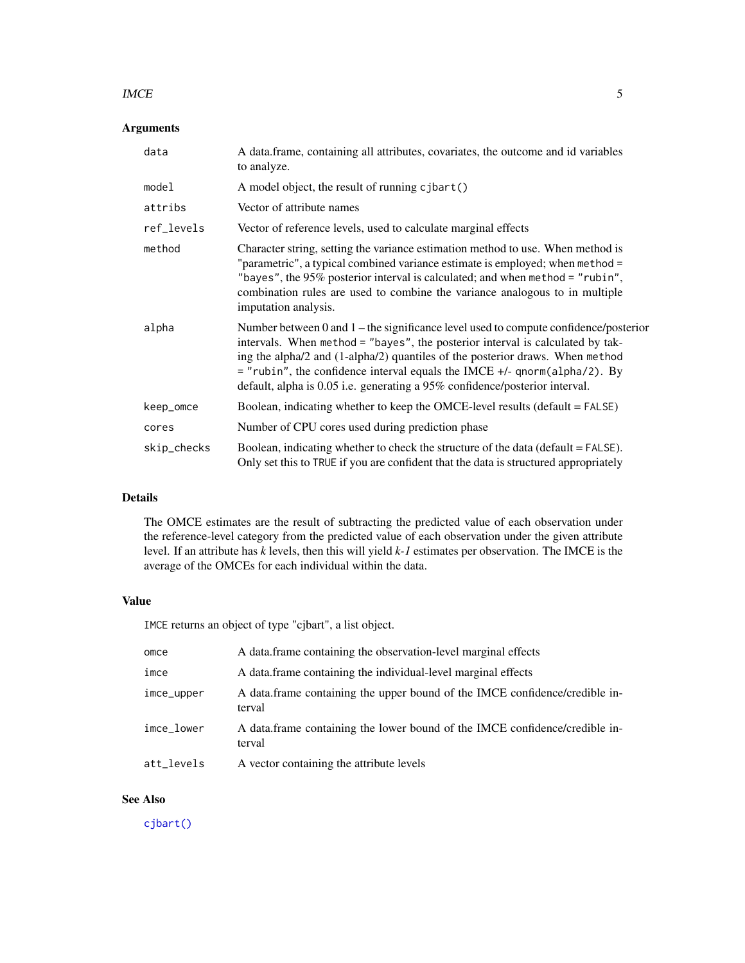#### <span id="page-4-0"></span> $\blacksquare$  IMCE

# Arguments

| data        | A data.frame, containing all attributes, covariates, the outcome and id variables<br>to analyze.                                                                                                                                                                                                                                                                                                                      |  |
|-------------|-----------------------------------------------------------------------------------------------------------------------------------------------------------------------------------------------------------------------------------------------------------------------------------------------------------------------------------------------------------------------------------------------------------------------|--|
| model       | A model object, the result of running cjbart()                                                                                                                                                                                                                                                                                                                                                                        |  |
| attribs     | Vector of attribute names                                                                                                                                                                                                                                                                                                                                                                                             |  |
| ref_levels  | Vector of reference levels, used to calculate marginal effects                                                                                                                                                                                                                                                                                                                                                        |  |
| method      | Character string, setting the variance estimation method to use. When method is<br>"parametric", a typical combined variance estimate is employed; when method =<br>"bayes", the $95\%$ posterior interval is calculated; and when method = "rubin",<br>combination rules are used to combine the variance analogous to in multiple<br>imputation analysis.                                                           |  |
| alpha       | Number between 0 and 1 – the significance level used to compute confidence/posterior<br>intervals. When method = "bayes", the posterior interval is calculated by tak-<br>ing the alpha/2 and (1-alpha/2) quantiles of the posterior draws. When method<br>$=$ "rubin", the confidence interval equals the IMCE +/- qnorm(alpha/2). By<br>default, alpha is 0.05 i.e. generating a 95% confidence/posterior interval. |  |
| keep_omce   | Boolean, indicating whether to keep the OMCE-level results (default = FALSE)                                                                                                                                                                                                                                                                                                                                          |  |
| cores       | Number of CPU cores used during prediction phase                                                                                                                                                                                                                                                                                                                                                                      |  |
| skip_checks | Boolean, indicating whether to check the structure of the data (default = FALSE).<br>Only set this to TRUE if you are confident that the data is structured appropriately                                                                                                                                                                                                                                             |  |

# Details

The OMCE estimates are the result of subtracting the predicted value of each observation under the reference-level category from the predicted value of each observation under the given attribute level. If an attribute has *k* levels, then this will yield *k-1* estimates per observation. The IMCE is the average of the OMCEs for each individual within the data.

# Value

IMCE returns an object of type "cjbart", a list object.

| omce       | A data.frame containing the observation-level marginal effects                        |
|------------|---------------------------------------------------------------------------------------|
| imce       | A data frame containing the individual-level marginal effects                         |
| imce_upper | A data frame containing the upper bound of the IMCE confidence/credible in-<br>terval |
| imce_lower | A data frame containing the lower bound of the IMCE confidence/credible in-<br>terval |
| att_levels | A vector containing the attribute levels                                              |

# See Also

[cjbart\(\)](#page-1-1)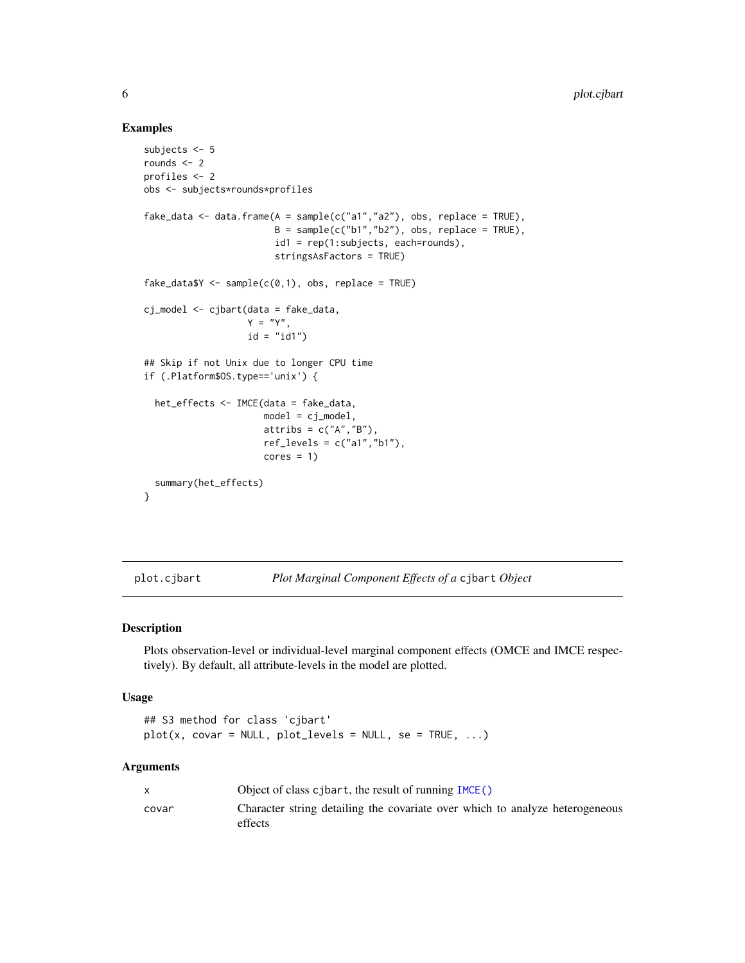#### Examples

```
subjects <- 5
rounds <- 2
profiles <- 2
obs <- subjects*rounds*profiles
fake_data <- data.frame(A = sample(c("a1", "a2"), obs, replace = TRUE),B = sample(c("b1", "b2"), obs, replace = TRUE),id1 = rep(1:subjects, each=rounds),
                        stringsAsFactors = TRUE)
fake\_data \leq \leq sample(c(0,1), obs, replace = TRUE)cj_model <- cjbart(data = fake_data,
                   Y = "Y",id = "id1")## Skip if not Unix due to longer CPU time
if (.Platform$OS.type=='unix') {
  het_effects <- IMCE(data = fake_data,
                      model = cj_model,attribs = c("A", "B"),
                      ref\_levels = c("a1", "b1"),cores = 1)summary(het_effects)
}
```
plot.cjbart *Plot Marginal Component Effects of a* cjbart *Object*

# Description

Plots observation-level or individual-level marginal component effects (OMCE and IMCE respectively). By default, all attribute-levels in the model are plotted.

#### Usage

```
## S3 method for class 'cjbart'
plot(x, covar = NULL, plot\_levels = NULL, se = TRUE, ...)
```
#### Arguments

|       | Object of class cjbart, the result of running $IMCE()$                                  |
|-------|-----------------------------------------------------------------------------------------|
| covar | Character string detailing the covariate over which to analyze heterogeneous<br>effects |

<span id="page-5-0"></span>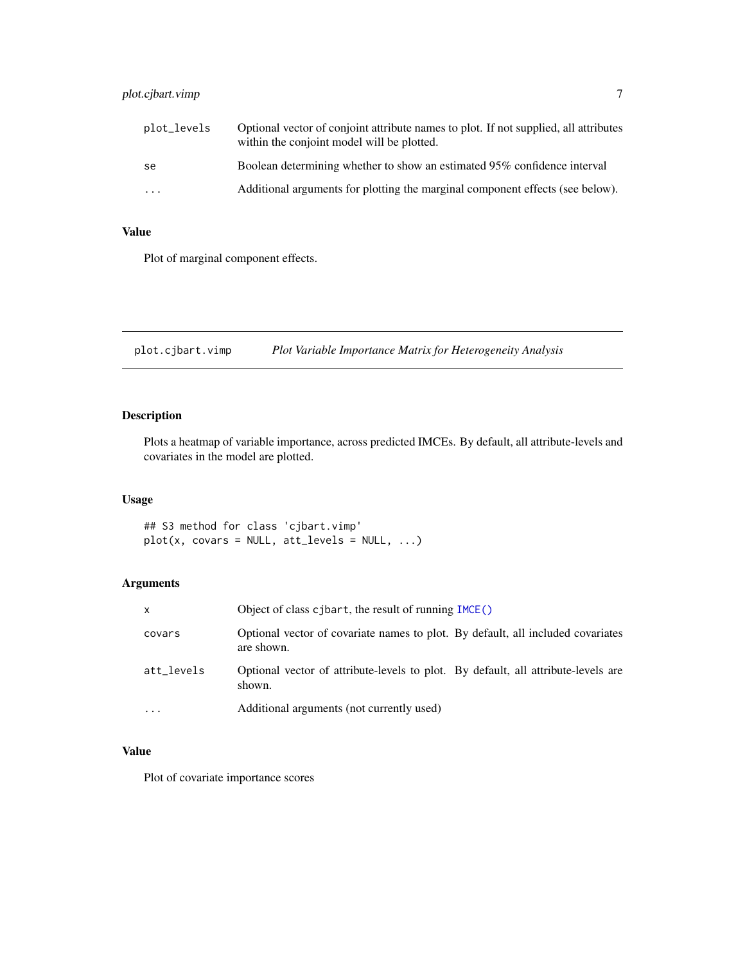<span id="page-6-0"></span>

| plot_levels | Optional vector of conjoint attribute names to plot. If not supplied, all attributes<br>within the conjoint model will be plotted. |
|-------------|------------------------------------------------------------------------------------------------------------------------------------|
| se          | Boolean determining whether to show an estimated 95% confidence interval                                                           |
| $\ddotsc$   | Additional arguments for plotting the marginal component effects (see below).                                                      |

# Value

Plot of marginal component effects.

plot.cjbart.vimp *Plot Variable Importance Matrix for Heterogeneity Analysis*

# Description

Plots a heatmap of variable importance, across predicted IMCEs. By default, all attribute-levels and covariates in the model are plotted.

### Usage

## S3 method for class 'cjbart.vimp'  $plot(x, covers = NULL, att\_levels = NULL, ...)$ 

# Arguments

| $\mathsf{x}$ | Object of class cjbart, the result of running IMCE()                                          |
|--------------|-----------------------------------------------------------------------------------------------|
| covars       | Optional vector of covariate names to plot. By default, all included covariates<br>are shown. |
| att levels   | Optional vector of attribute-levels to plot. By default, all attribute-levels are<br>shown.   |
| .            | Additional arguments (not currently used)                                                     |

# Value

Plot of covariate importance scores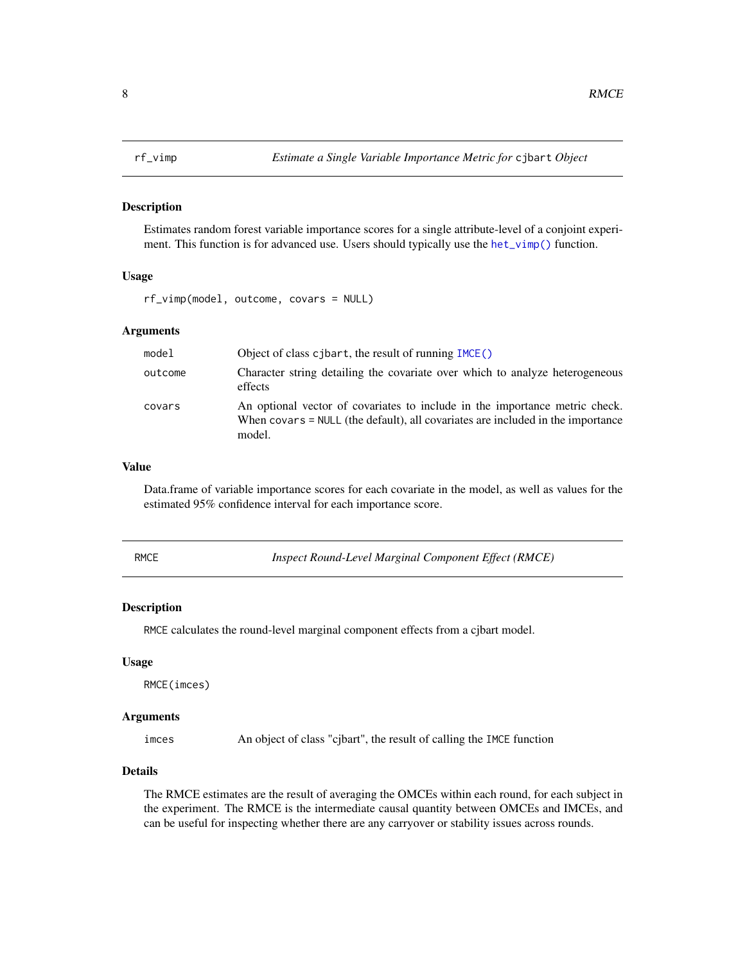<span id="page-7-0"></span>

# Description

Estimates random forest variable importance scores for a single attribute-level of a conjoint experiment. This function is for advanced use. Users should typically use the het $\text{iv}$  () function.

#### Usage

rf\_vimp(model, outcome, covars = NULL)

# Arguments

| model   | Object of class cjbart, the result of running IMCE()                                                                                                                     |
|---------|--------------------------------------------------------------------------------------------------------------------------------------------------------------------------|
| outcome | Character string detailing the covariate over which to analyze heterogeneous<br>effects                                                                                  |
| covars  | An optional vector of covariates to include in the importance metric check.<br>When covars = NULL (the default), all covariates are included in the importance<br>model. |

#### Value

Data.frame of variable importance scores for each covariate in the model, as well as values for the estimated 95% confidence interval for each importance score.

RMCE *Inspect Round-Level Marginal Component Effect (RMCE)*

#### Description

RMCE calculates the round-level marginal component effects from a cjbart model.

#### Usage

RMCE(imces)

#### Arguments

imces An object of class "cjbart", the result of calling the IMCE function

# Details

The RMCE estimates are the result of averaging the OMCEs within each round, for each subject in the experiment. The RMCE is the intermediate causal quantity between OMCEs and IMCEs, and can be useful for inspecting whether there are any carryover or stability issues across rounds.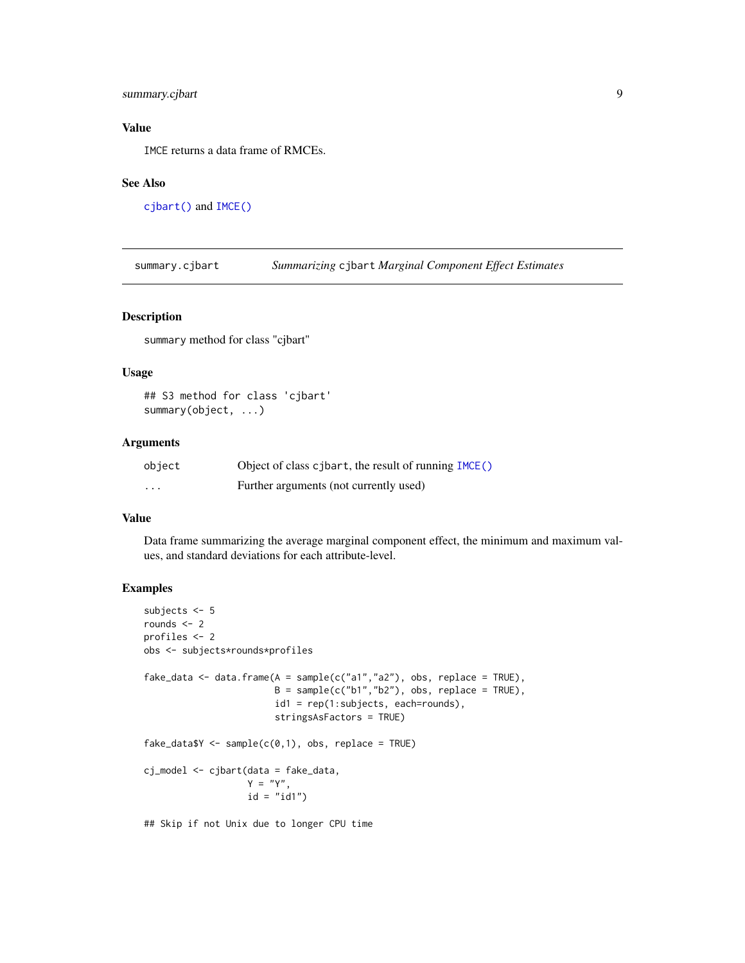# <span id="page-8-0"></span>summary.cjbart 9

# Value

IMCE returns a data frame of RMCEs.

# See Also

[cjbart\(\)](#page-1-1) and [IMCE\(\)](#page-3-1)

summary.cjbart *Summarizing* cjbart *Marginal Component Effect Estimates*

#### Description

summary method for class "cjbart"

#### Usage

```
## S3 method for class 'cjbart'
summary(object, ...)
```
#### Arguments

| object | Object of class cjbart, the result of running IMCE() |
|--------|------------------------------------------------------|
| .      | Further arguments (not currently used)               |

#### Value

Data frame summarizing the average marginal component effect, the minimum and maximum values, and standard deviations for each attribute-level.

# Examples

```
subjects <- 5
rounds <- 2
profiles <- 2
obs <- subjects*rounds*profiles
fake_data <- data.frame(A = sample(c("a1", "a2"), obs, replace = TRUE),B = sample(c("b1", "b2"), obs, replace = TRUE),id1 = rep(1:subjects, each=rounds),
                        stringsAsFactors = TRUE)
fake\_data <- sample(c(0,1), obs, replace = TRUE)cj_model <- cjbart(data = fake_data,
                   Y = "Y",id = "id1")
```
## Skip if not Unix due to longer CPU time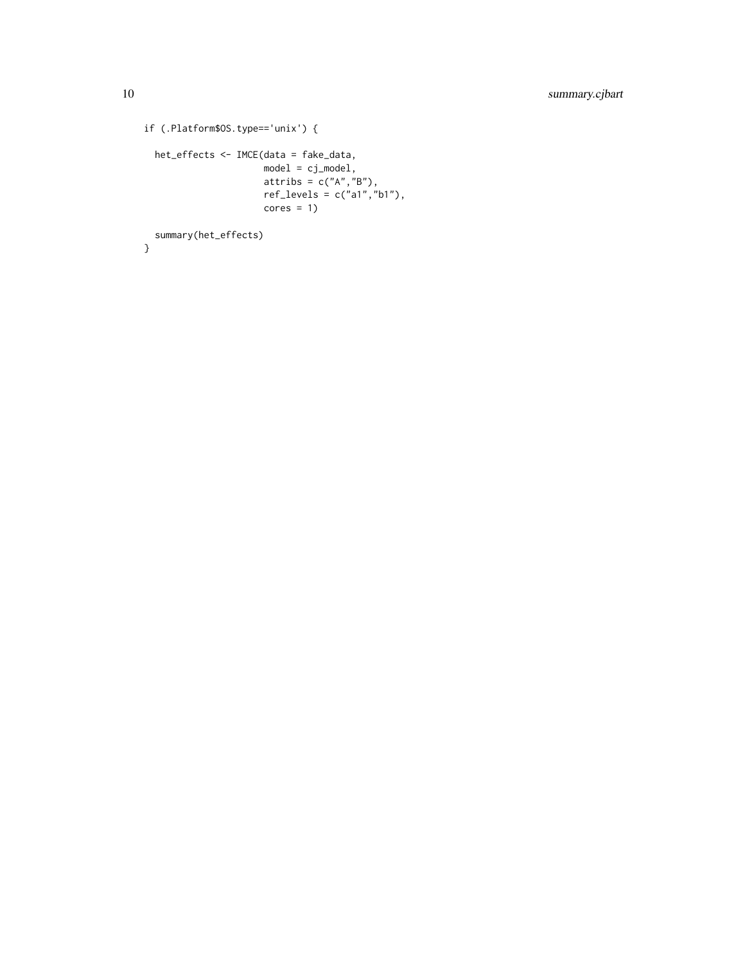```
if (.Platform$OS.type=='unix') {
 het_effects <- IMCE(data = fake_data,
                     model = cj_model,
                      attribs = c("A", "B"),
                      ref_levels = c("a1","b1"),
                     cores = 1)summary(het_effects)
```

```
}
```